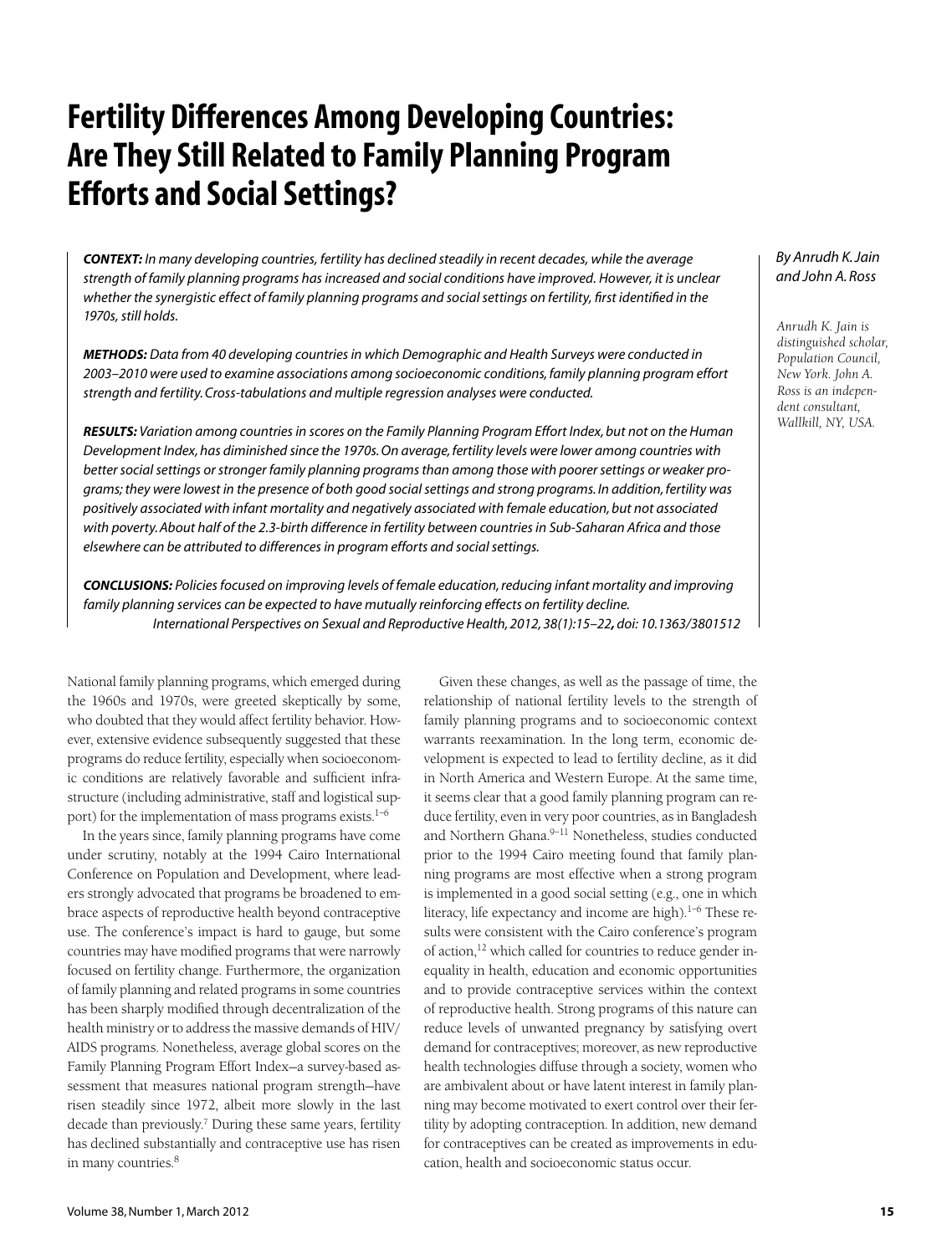# **Fertility Differences Among Developing Countries: Are They Still Related to Family Planning Program Efforts and Social Settings?**

*CONTEXT: In many developing countries, fertility has declined steadily in recent decades, while the average strength of family planning programs has increased and social conditions have improved. However, it is unclear whether the synergistic effect of family planning programs and social settings on fertility, first identified in the 1970s, still holds.*

*METHODS: Data from 40 developing countries in which Demographic and Health Surveys were conducted in 2003–2010 were used to examine associations among socioeconomic conditions, family planning program effort strength and fertility. Cross-tabulations and multiple regression analyses were conducted.*

*RESULTS: Variation among countries in scores on the Family Planning Program Effort Index, but not on the Human Development Index, has diminished since the 1970s. On average, fertility levels were lower among countries with better social settings or stronger family planning programs than among those with poorer settings or weaker programs; they were lowest in the presence of both good social settings and strong programs. In addition, fertility was positively associated with infant mortality and negatively associated with female education, but not associated with poverty. About half of the 2.3-birth difference in fertility between countries in Sub-Saharan Africa and those elsewhere can be attributed to differences in program efforts and social settings.*

*CONCLUSIONS: Policies focused on improving levels of female education, reducing infant mortality and improving family planning services can be expected to have mutually reinforcing effects on fertility decline. International Perspectives on Sexual and Reproductive Health, 2012, 38(1):15–22, doi: 10.1363/3801512*

National family planning programs, which emerged during the 1960s and 1970s, were greeted skeptically by some, who doubted that they would affect fertility behavior. However, extensive evidence subsequently suggested that these programs do reduce fertility, especially when socioeconomic conditions are relatively favorable and sufficient infrastructure (including administrative, staff and logistical support) for the implementation of mass programs exists. $1-6$ 

In the years since, family planning programs have come under scrutiny, notably at the 1994 Cairo International Conference on Population and Development, where leaders strongly advocated that programs be broadened to embrace aspects of reproductive health beyond contraceptive use. The conference's impact is hard to gauge, but some countries may have modified programs that were narrowly focused on fertility change. Furthermore, the organization of family planning and related programs in some countries has been sharply modified through decentralization of the health ministry or to address the massive demands of HIV/ AIDS programs. Nonetheless, average global scores on the Family Planning Program Effort Index—a survey-based assessment that measures national program strength—have risen steadily since 1972, albeit more slowly in the last decade than previously.7 During these same years, fertility has declined substantially and contraceptive use has risen in many countries.<sup>8</sup>

Given these changes, as well as the passage of time, the relationship of national fertility levels to the strength of family planning programs and to socioeconomic context warrants reexamination. In the long term, economic development is expected to lead to fertility decline, as it did in North America and Western Europe. At the same time, it seems clear that a good family planning program can reduce fertility, even in very poor countries, as in Bangladesh and Northern Ghana.<sup>9-11</sup> Nonetheless, studies conducted prior to the 1994 Cairo meeting found that family planning programs are most effective when a strong program is implemented in a good social setting (e.g., one in which literacy, life expectancy and income are high). $1-6$  These results were consistent with the Cairo conference's program of action,<sup>12</sup> which called for countries to reduce gender inequality in health, education and economic opportunities and to provide contraceptive services within the context of reproductive health. Strong programs of this nature can reduce levels of unwanted pregnancy by satisfying overt demand for contraceptives; moreover, as new reproductive health technologies diffuse through a society, women who are ambivalent about or have latent interest in family planning may become motivated to exert control over their fertility by adopting contraception. In addition, new demand for contraceptives can be created as improvements in education, health and socioeconomic status occur.

# *By Anrudh K. Jain and John A. Ross*

*Anrudh K. Jain is distinguished scholar, Population Council, New York. John A. Ross is an independent consultant, Wallkill, NY, USA.*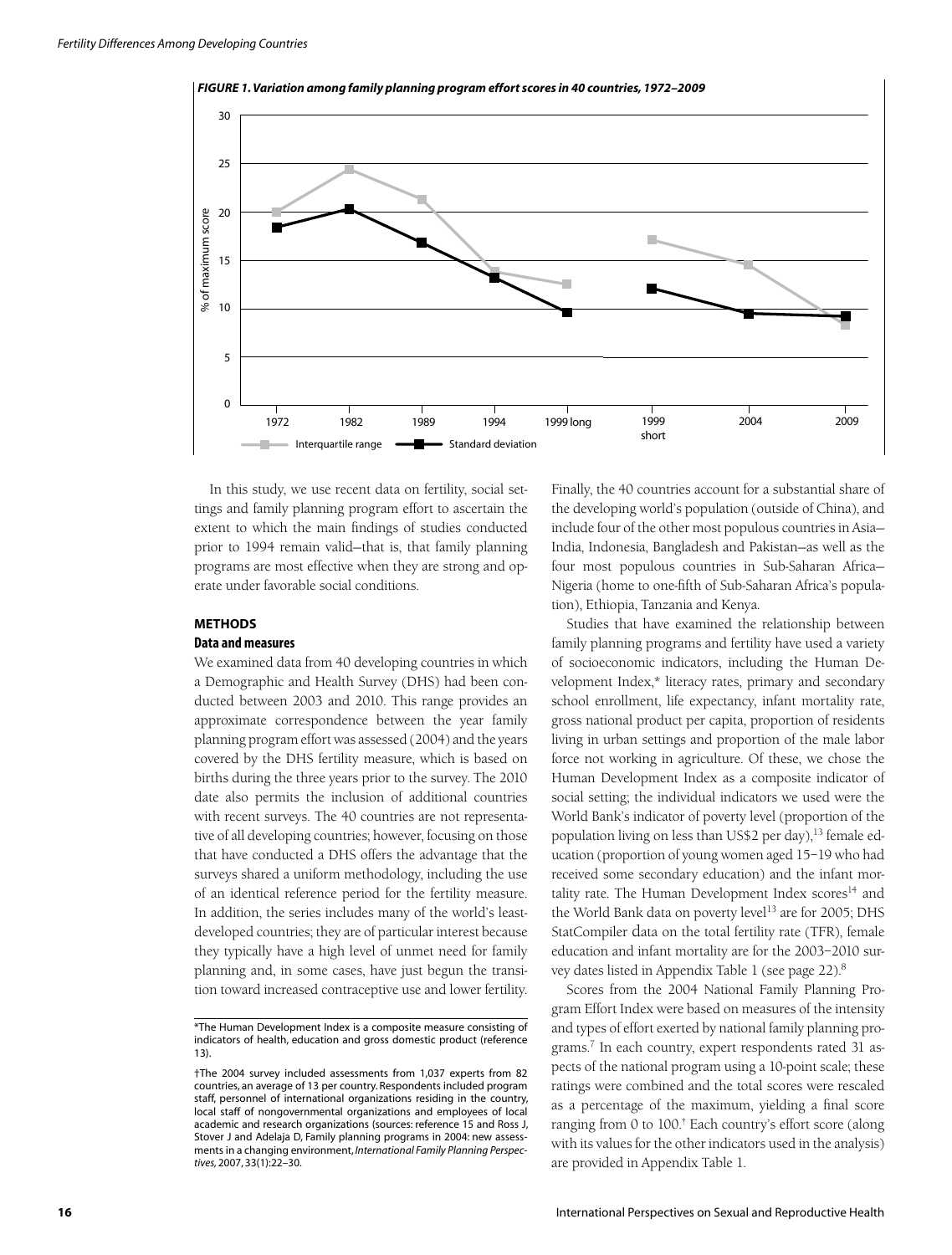

*FIGURE 1. Variation among family planning program effort scores in 40 countries, 1972–2009*

In this study, we use recent data on fertility, social settings and family planning program effort to ascertain the extent to which the main findings of studies conducted prior to 1994 remain valid—that is, that family planning programs are most effective when they are strong and operate under favorable social conditions.

#### **METHODS**

## **Data and measures**

We examined data from 40 developing countries in which a Demographic and Health Survey (DHS) had been conducted between 2003 and 2010. This range provides an approximate correspondence between the year family planning program effort was assessed (2004) and the years covered by the DHS fertility measure, which is based on births during the three years prior to the survey. The 2010 date also permits the inclusion of additional countries with recent surveys. The 40 countries are not representative of all developing countries; however, focusing on those that have conducted a DHS offers the advantage that the surveys shared a uniform methodology, including the use of an identical reference period for the fertility measure. In addition, the series includes many of the world's leastdeveloped countries; they are of particular interest because they typically have a high level of unmet need for family planning and, in some cases, have just begun the transition toward increased contraceptive use and lower fertility. Finally, the 40 countries account for a substantial share of the developing world's population (outside of China), and include four of the other most populous countries in Asia— India, Indonesia, Bangladesh and Pakistan—as well as the four most populous countries in Sub-Saharan Africa— Nigeria (home to one-fifth of Sub-Saharan Africa's population), Ethiopia, Tanzania and Kenya.

Studies that have examined the relationship between family planning programs and fertility have used a variety of socioeconomic indicators, including the Human Development Index,\* literacy rates, primary and secondary school enrollment, life expectancy, infant mortality rate, gross national product per capita, proportion of residents living in urban settings and proportion of the male labor force not working in agriculture. Of these, we chose the Human Development Index as a composite indicator of social setting; the individual indicators we used were the World Bank's indicator of poverty level (proportion of the population living on less than US\$2 per day),<sup>13</sup> female education (proportion of young women aged 15–19 who had received some secondary education) and the infant mortality rate. The Human Development Index scores<sup>14</sup> and the World Bank data on poverty level<sup>13</sup> are for 2005; DHS StatCompiler data on the total fertility rate (TFR), female education and infant mortality are for the 2003–2010 survey dates listed in Appendix Table 1 (see page 22).8

Scores from the 2004 National Family Planning Program Effort Index were based on measures of the intensity and types of effort exerted by national family planning programs.<sup>7</sup> In each country, expert respondents rated 31 aspects of the national program using a 10-point scale; these ratings were combined and the total scores were rescaled as a percentage of the maximum, yielding a final score ranging from 0 to 100.† Each country's effort score (along with its values for the other indicators used in the analysis) are provided in Appendix Table 1.

<sup>\*</sup>The Human Development Index is a composite measure consisting of indicators of health, education and gross domestic product (reference 13).

<sup>†</sup>The 2004 survey included assessments from 1,037 experts from 82 countries, an average of 13 per country. Respondents included program staff, personnel of international organizations residing in the country, local staff of nongovernmental organizations and employees of local academic and research organizations (sources: reference 15 and Ross J, Stover J and Adelaja D, Family planning programs in 2004: new assessments in a changing environment, *International Family Planning Perspectives,* 2007, 33(1):22–30.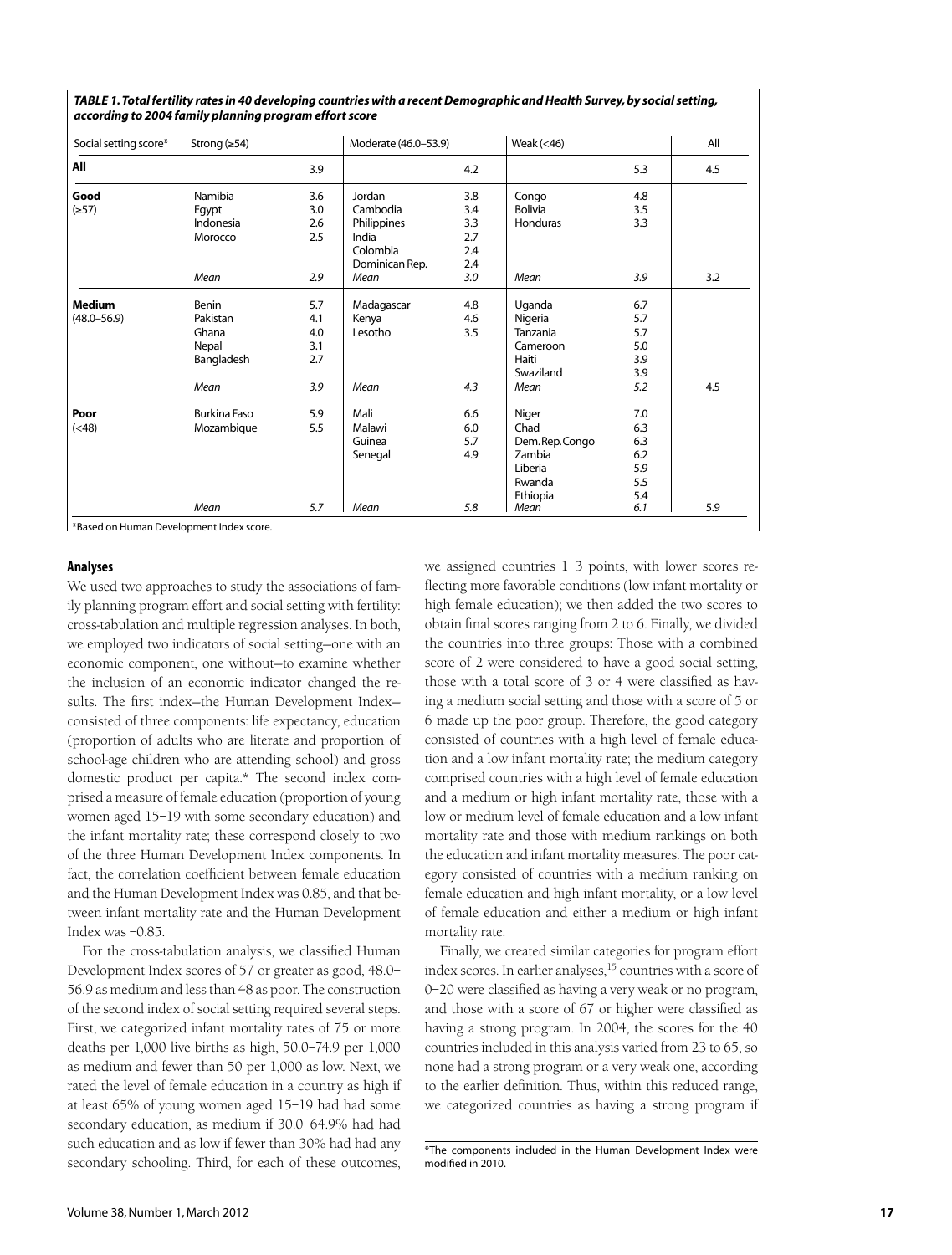| Social setting score* | Strong $(\geq 54)$  |     | Moderate (46.0-53.9) |     | Weak $(<$ 46)  |     | All |  |
|-----------------------|---------------------|-----|----------------------|-----|----------------|-----|-----|--|
| All                   |                     | 3.9 |                      | 4.2 |                | 5.3 | 4.5 |  |
| Good                  | Namibia             | 3.6 | Jordan               | 3.8 | Congo          | 4.8 |     |  |
| (≥57)                 | Egypt               | 3.0 | Cambodia             | 3.4 | <b>Bolivia</b> | 3.5 |     |  |
|                       | Indonesia           | 2.6 | Philippines          | 3.3 | Honduras       | 3.3 |     |  |
|                       | Morocco             | 2.5 | India                | 2.7 |                |     |     |  |
|                       |                     |     | Colombia             | 2.4 |                |     |     |  |
|                       |                     |     | Dominican Rep.       | 2.4 |                |     |     |  |
|                       | Mean                | 2.9 | Mean                 | 3.0 | Mean           | 3.9 | 3.2 |  |
| <b>Medium</b>         | <b>Benin</b>        | 5.7 | Madagascar           | 4.8 | Uganda         | 6.7 |     |  |
| $(48.0 - 56.9)$       | Pakistan            | 4.1 | Kenya                | 4.6 | Nigeria        | 5.7 |     |  |
|                       | Ghana               | 4.0 | Lesotho              | 3.5 | Tanzania       | 5.7 |     |  |
|                       | Nepal               | 3.1 |                      |     | Cameroon       | 5.0 |     |  |
|                       | Bangladesh          | 2.7 |                      |     | Haiti          | 3.9 |     |  |
|                       |                     |     |                      |     | Swaziland      | 3.9 |     |  |
|                       | Mean                | 3.9 | Mean                 | 4.3 | Mean           | 5.2 | 4.5 |  |
| Poor                  | <b>Burkina Faso</b> | 5.9 | Mali                 | 6.6 | Niger          | 7.0 |     |  |
| ( <b>48</b> )         | Mozambique          | 5.5 | Malawi               | 6.0 | Chad           | 6.3 |     |  |
|                       |                     |     | Guinea               | 5.7 | Dem.Rep.Congo  | 6.3 |     |  |
|                       |                     |     | Senegal              | 4.9 | Zambia         | 6.2 |     |  |
|                       |                     |     |                      |     | Liberia        | 5.9 |     |  |
|                       |                     |     |                      |     | Rwanda         | 5.5 |     |  |
|                       |                     |     |                      |     | Ethiopia       | 5.4 |     |  |
|                       | Mean                | 5.7 | Mean                 | 5.8 | Mean           | 6.1 | 5.9 |  |

*TABLE 1. Total fertility rates in 40 developing countries with a recent Demographic and Health Survey, by social setting, according to 2004 family planning program effort score* 

\*Based on Human Development Index score.

#### **Analyses**

We used two approaches to study the associations of family planning program effort and social setting with fertility: cross-tabulation and multiple regression analyses. In both, we employed two indicators of social setting—one with an economic component, one without—to examine whether the inclusion of an economic indicator changed the results. The first index—the Human Development Index consisted of three components: life expectancy, education (proportion of adults who are literate and proportion of school-age children who are attending school) and gross domestic product per capita.\* The second index comprised a measure of female education (proportion of young women aged 15–19 with some secondary education) and the infant mortality rate; these correspond closely to two of the three Human Development Index components. In fact, the correlation coefficient between female education and the Human Development Index was 0.85, and that between infant mortality rate and the Human Development Index was –0.85.

For the cross-tabulation analysis, we classified Human Development Index scores of 57 or greater as good, 48.0– 56.9 as medium and less than 48 as poor. The construction of the second index of social setting required several steps. First, we categorized infant mortality rates of 75 or more deaths per 1,000 live births as high, 50.0–74.9 per 1,000 as medium and fewer than 50 per 1,000 as low. Next, we rated the level of female education in a country as high if at least 65% of young women aged 15–19 had had some secondary education, as medium if 30.0–64.9% had had such education and as low if fewer than 30% had had any secondary schooling. Third, for each of these outcomes,

we assigned countries 1–3 points, with lower scores reflecting more favorable conditions (low infant mortality or high female education); we then added the two scores to obtain final scores ranging from 2 to 6. Finally, we divided the countries into three groups: Those with a combined score of 2 were considered to have a good social setting, those with a total score of 3 or 4 were classified as having a medium social setting and those with a score of 5 or 6 made up the poor group. Therefore, the good category consisted of countries with a high level of female education and a low infant mortality rate; the medium category comprised countries with a high level of female education and a medium or high infant mortality rate, those with a low or medium level of female education and a low infant mortality rate and those with medium rankings on both the education and infant mortality measures. The poor category consisted of countries with a medium ranking on female education and high infant mortality, or a low level of female education and either a medium or high infant mortality rate.

Finally, we created similar categories for program effort index scores. In earlier analyses,<sup>15</sup> countries with a score of 0–20 were classified as having a very weak or no program, and those with a score of 67 or higher were classified as having a strong program. In 2004, the scores for the 40 countries included in this analysis varied from 23 to 65, so none had a strong program or a very weak one, according to the earlier definition. Thus, within this reduced range, we categorized countries as having a strong program if

\*The components included in the Human Development Index were modified in 2010.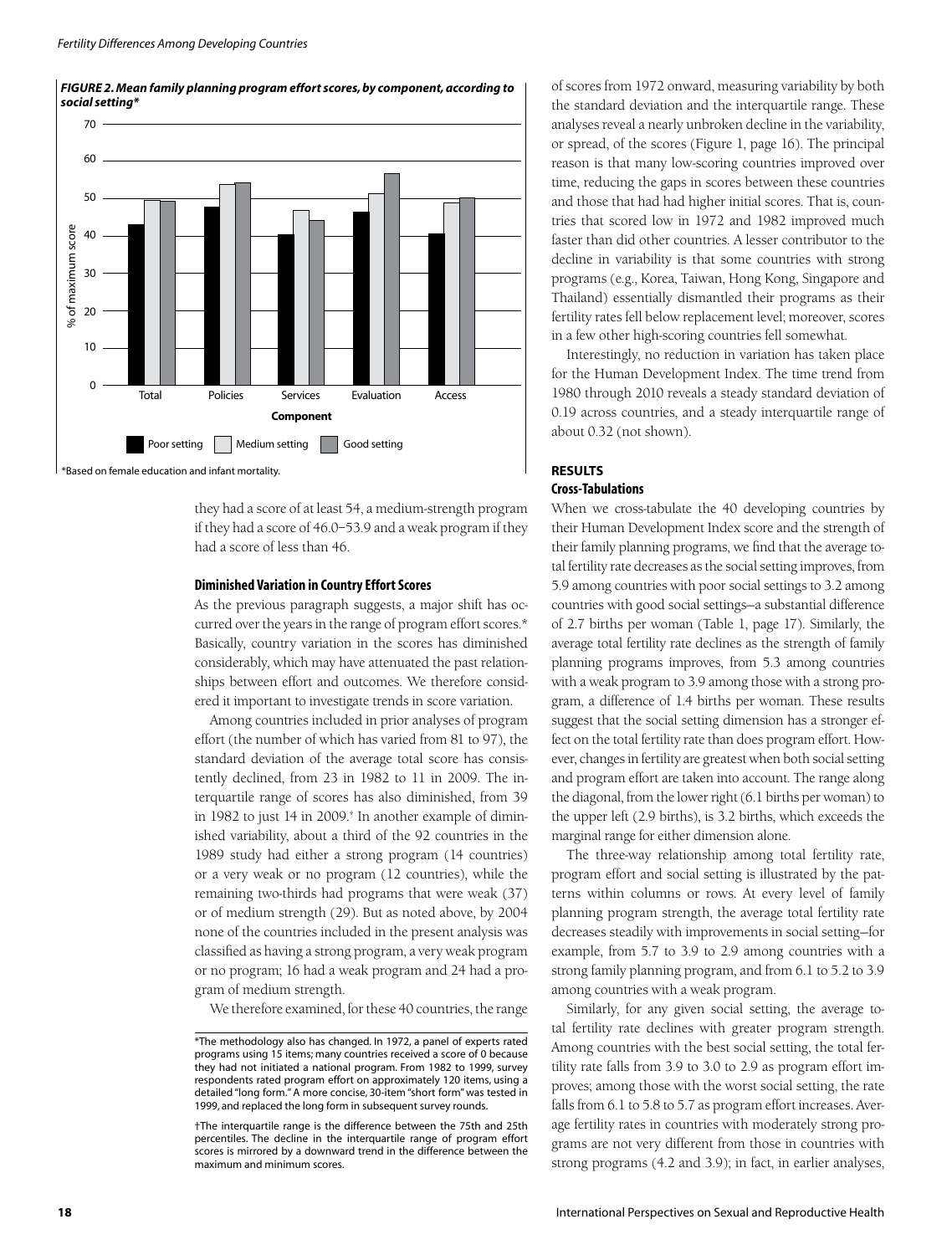

*FIGURE 2. Mean family planning program effort scores, by component, according to social setting\**

they had a score of at least 54, a medium-strength program if they had a score of 46.0–53.9 and a weak program if they had a score of less than 46.

#### **Diminished Variation in Country Effort Scores**

As the previous paragraph suggests, a major shift has occurred over the years in the range of program effort scores.\* Basically, country variation in the scores has diminished considerably, which may have attenuated the past relationships between effort and outcomes. We therefore considered it important to investigate trends in score variation.

Among countries included in prior analyses of program effort (the number of which has varied from 81 to 97), the standard deviation of the average total score has consistently declined, from 23 in 1982 to 11 in 2009. The interquartile range of scores has also diminished, from 39 in 1982 to just 14 in 2009.† In another example of diminished variability, about a third of the 92 countries in the 1989 study had either a strong program (14 countries) or a very weak or no program (12 countries), while the remaining two-thirds had programs that were weak (37) or of medium strength (29). But as noted above, by 2004 none of the countries included in the present analysis was classified as having a strong program, a very weak program or no program; 16 had a weak program and 24 had a program of medium strength.

We therefore examined, for these 40 countries, the range

of scores from 1972 onward, measuring variability by both the standard deviation and the interquartile range. These analyses reveal a nearly unbroken decline in the variability, or spread, of the scores (Figure 1, page 16). The principal reason is that many low-scoring countries improved over  $\frac{1}{2}$  time, reducing the gaps in scores between these countries and those that had had higher initial scores. That is, countries that scored low in 1972 and 1982 improved much faster than did other countries. A lesser contributor to the decline in variability is that some countries with strong programs (e.g., Korea, Taiwan, Hong Kong, Singapore and Thailand) essentially dismantled their programs as their fertility rates fell below replacement level; moreover, scores in a few other high-scoring countries fell somewhat.

Interestingly, no reduction in variation has taken place for the Human Development Index. The time trend from 1980 through 2010 reveals a steady standard deviation of 0.19 across countries, and a steady interquartile range of about 0.32 (not shown).

# **RESULTS Cross-Tabulations**

When we cross-tabulate the 40 developing countries by their Human Development Index score and the strength of their family planning programs, we find that the average total fertility rate decreases as the social setting improves, from 5.9 among countries with poor social settings to 3.2 among countries with good social settings—a substantial difference of 2.7 births per woman (Table 1, page 17). Similarly, the average total fertility rate declines as the strength of family planning programs improves, from 5.3 among countries with a weak program to 3.9 among those with a strong program, a difference of 1.4 births per woman. These results suggest that the social setting dimension has a stronger ef-Good fect on the total fertility rate than does program effort. However, changes in fertility are greatest when both social setting and program effort are taken into account. The range along the diagonal, from the lower right (6.1 births per woman) to the upper left (2.9 births), is 3.2 births, which exceeds the marginal range for either dimension alone.

The three-way relationship among total fertility rate, program effort and social setting is illustrated by the patterns within columns or rows. At every level of family planning program strength, the average total fertility rate decreases steadily with improvements in social setting—for example, from 5.7 to 3.9 to 2.9 among countries with a strong family planning program, and from 6.1 to 5.2 to 3.9 among countries with a weak program.

Similarly, for any given social setting, the average total fertility rate declines with greater program strength. Among countries with the best social setting, the total fertility rate falls from 3.9 to 3.0 to 2.9 as program effort improves; among those with the worst social setting, the rate falls from 6.1 to 5.8 to 5.7 as program effort increases. Average fertility rates in countries with moderately strong programs are not very different from those in countries with strong programs (4.2 and 3.9); in fact, in earlier analyses,

<sup>\*</sup>The methodology also has changed. In 1972, a panel of experts rated programs using 15 items; many countries received a score of 0 because they had not initiated a national program. From 1982 to 1999, survey respondents rated program effort on approximately 120 items, using a detailed "long form." A more concise, 30-item "short form" was tested in 1999, and replaced the long form in subsequent survey rounds.

<sup>†</sup>The interquartile range is the difference between the 75th and 25th percentiles. The decline in the interquartile range of program effort scores is mirrored by a downward trend in the difference between the maximum and minimum scores.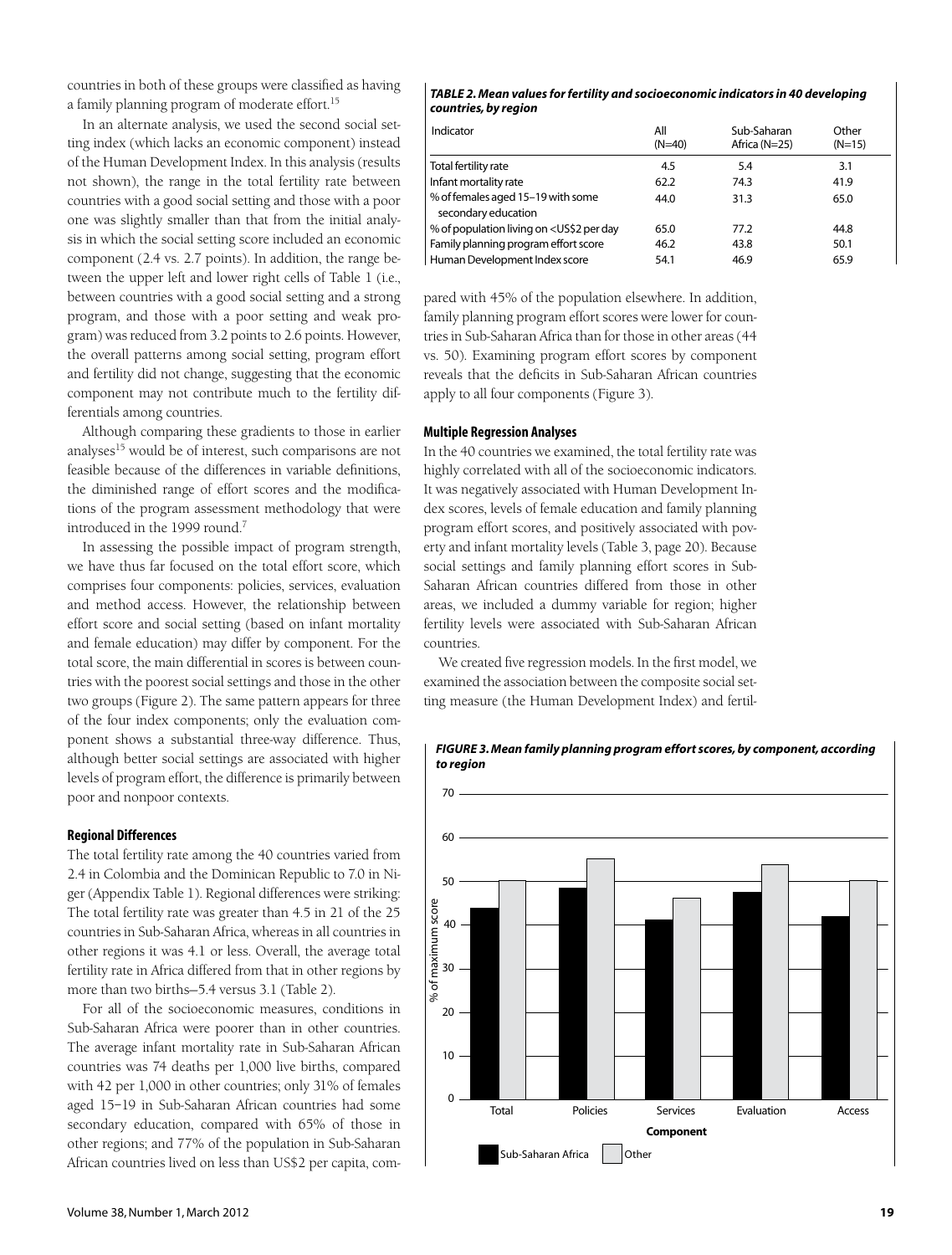countries in both of these groups were classified as having a family planning program of moderate effort.15

In an alternate analysis, we used the second social setting index (which lacks an economic component) instead of the Human Development Index. In this analysis (results not shown), the range in the total fertility rate between countries with a good social setting and those with a poor one was slightly smaller than that from the initial analysis in which the social setting score included an economic component (2.4 vs. 2.7 points). In addition, the range between the upper left and lower right cells of Table 1 (i.e., between countries with a good social setting and a strong program, and those with a poor setting and weak program) was reduced from 3.2 points to 2.6 points. However, the overall patterns among social setting, program effort and fertility did not change, suggesting that the economic component may not contribute much to the fertility differentials among countries.

Although comparing these gradients to those in earlier analyses<sup>15</sup> would be of interest, such comparisons are not feasible because of the differences in variable definitions, the diminished range of effort scores and the modifications of the program assessment methodology that were introduced in the 1999 round.7

In assessing the possible impact of program strength, we have thus far focused on the total effort score, which comprises four components: policies, services, evaluation and method access. However, the relationship between effort score and social setting (based on infant mortality and female education) may differ by component. For the total score, the main differential in scores is between countries with the poorest social settings and those in the other two groups (Figure 2). The same pattern appears for three of the four index components; only the evaluation component shows a substantial three-way difference. Thus, although better social settings are associated with higher levels of program effort, the difference is primarily between poor and nonpoor contexts.

#### **Regional Differences**

The total fertility rate among the 40 countries varied from 2.4 in Colombia and the Dominican Republic to 7.0 in Niger (Appendix Table 1). Regional differences were striking: The total fertility rate was greater than 4.5 in 21 of the 25 countries in Sub-Saharan Africa, whereas in all countries in other regions it was 4.1 or less. Overall, the average total fertility rate in Africa differed from that in other regions by more than two births—5.4 versus 3.1 (Table 2).

For all of the socioeconomic measures, conditions in Sub-Saharan Africa were poorer than in other countries. The average infant mortality rate in Sub-Saharan African countries was 74 deaths per 1,000 live births, compared with 42 per 1,000 in other countries; only 31% of females aged 15–19 in Sub-Saharan African countries had some secondary education, compared with 65% of those in other regions; and 77% of the population in Sub-Saharan African countries lived on less than US\$2 per capita, com-

#### *TABLE 2. Mean values for fertility and socioeconomic indicators in 40 developing countries, by region*

| Indicator                                                                                             | All<br>$(N=40)$ | Sub-Saharan<br>Africa (N=25) | Other<br>$(N=15)$ |
|-------------------------------------------------------------------------------------------------------|-----------------|------------------------------|-------------------|
| Total fertility rate                                                                                  | 4.5             | 5.4                          | 3.1               |
| Infant mortality rate                                                                                 | 62.2            | 74.3                         | 41.9              |
| % of females aged 15-19 with some<br>secondary education                                              | 44.0            | 31.3                         | 65.0              |
| % of population living on <us\$2 day<="" per="" td=""><td>65.0</td><td>77.2</td><td>44.8</td></us\$2> | 65.0            | 77.2                         | 44.8              |
| Family planning program effort score                                                                  | 46.2            | 43.8                         | 50.1              |
| Human Development Index score                                                                         | 54.1            | 46.9                         | 65.9              |

pared with 45% of the population elsewhere. In addition, family planning program effort scores were lower for countries in Sub-Saharan Africa than for those in other areas (44 vs. 50). Examining program effort scores by component reveals that the deficits in Sub-Saharan African countries apply to all four components (Figure 3).

## **Multiple Regression Analyses**

In the 40 countries we examined, the total fertility rate was highly correlated with all of the socioeconomic indicators. It was negatively associated with Human Development Index scores, levels of female education and family planning program effort scores, and positively associated with poverty and infant mortality levels (Table 3, page 20). Because social settings and family planning effort scores in Sub-Saharan African countries differed from those in other areas, we included a dummy variable for region; higher fertility levels were associated with Sub-Saharan African countries.

We created five regression models. In the first model, we examined the association between the composite social setting measure (the Human Development Index) and fertil-



*FIGURE 3. Mean family planning program effort scores, by component, according to region*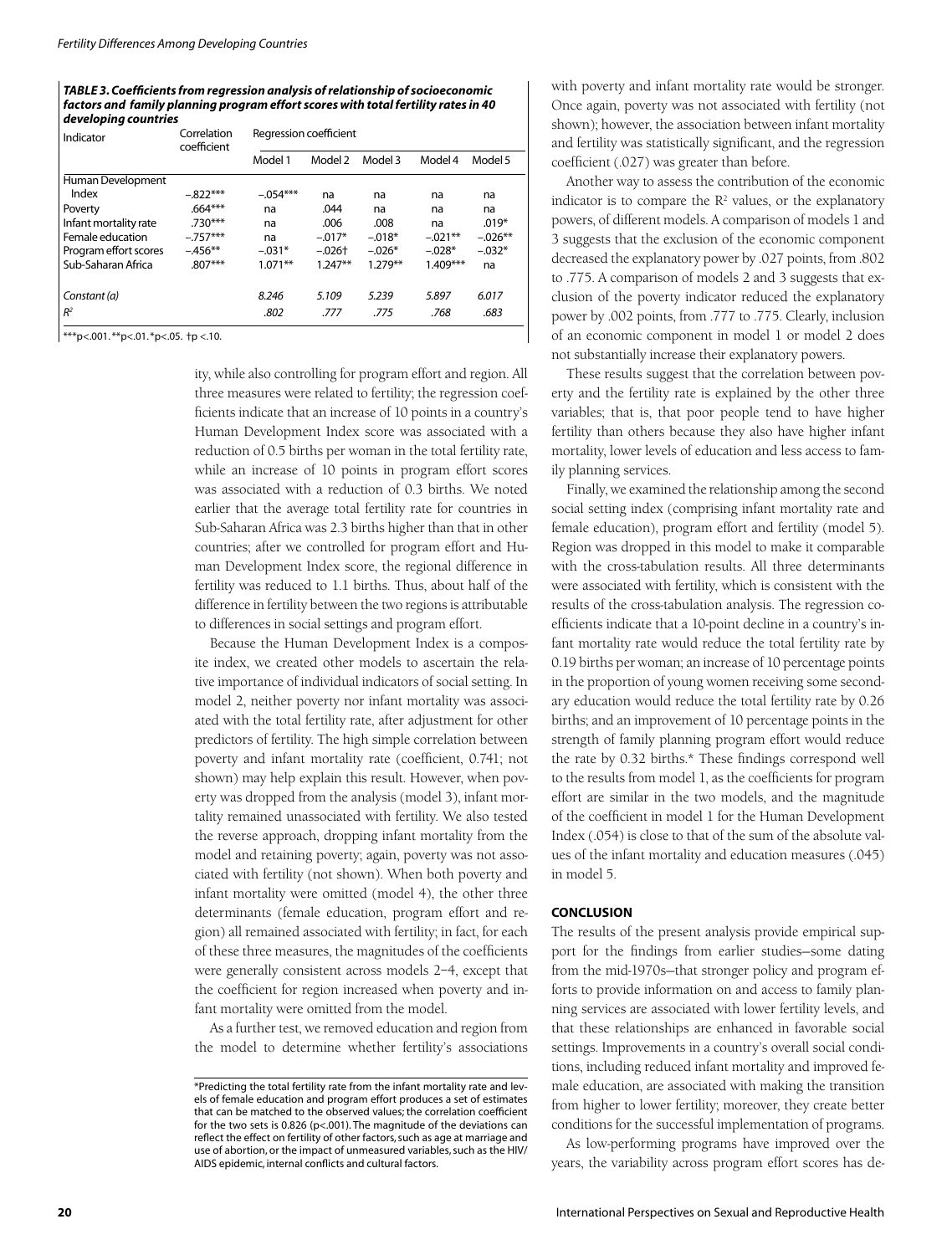*TABLE 3. Coefficients from regression analysis of relationship of socioeconomic factors and family planning program effort scores with total fertility rates in 40 developing countries* 

| Indicator             | Correlation<br>coefficient | Regression coefficient |           |           |            |           |
|-----------------------|----------------------------|------------------------|-----------|-----------|------------|-----------|
|                       |                            | Model 1                | Model 2   | Model 3   | Model 4    | Model 5   |
| Human Development     |                            |                        |           |           |            |           |
| Index                 | $-.822***$                 | $-.054***$             | na        | na        | na         | na        |
| Poverty               | $.664***$                  | na                     | .044      | na        | na         | na        |
| Infant mortality rate | $.730***$                  | na                     | .006      | .008      | na         | $.019*$   |
| Female education      | $-.757***$                 | na                     | $-.017*$  | $-.018*$  | $-.021**$  | $-.026**$ |
| Program effort scores | $-456**$                   | $-.031*$               | $-.026+$  | $-.026*$  | $-.028*$   | $-.032*$  |
| Sub-Saharan Africa    | .807***                    | $1.071**$              | $1.247**$ | $1.279**$ | $1.409***$ | na        |
| Constant (a)          |                            | 8.246                  | 5.109     | 5.239     | 5.897      | 6.017     |
| R <sup>2</sup>        |                            | .802                   | .777      | .775      | .768       | .683      |

 $**p<.001.**p<.01.*p<.05.*p<.10$ .

ity, while also controlling for program effort and region. All three measures were related to fertility; the regression coefficients indicate that an increase of 10 points in a country's Human Development Index score was associated with a reduction of 0.5 births per woman in the total fertility rate, while an increase of 10 points in program effort scores was associated with a reduction of 0.3 births. We noted earlier that the average total fertility rate for countries in Sub-Saharan Africa was 2.3 births higher than that in other countries; after we controlled for program effort and Human Development Index score, the regional difference in fertility was reduced to 1.1 births. Thus, about half of the difference in fertility between the two regions is attributable to differences in social settings and program effort.

Because the Human Development Index is a composite index, we created other models to ascertain the relative importance of individual indicators of social setting. In model 2, neither poverty nor infant mortality was associated with the total fertility rate, after adjustment for other predictors of fertility. The high simple correlation between poverty and infant mortality rate (coefficient, 0.741; not shown) may help explain this result. However, when poverty was dropped from the analysis (model 3), infant mortality remained unassociated with fertility. We also tested the reverse approach, dropping infant mortality from the model and retaining poverty; again, poverty was not associated with fertility (not shown). When both poverty and infant mortality were omitted (model 4), the other three determinants (female education, program effort and region) all remained associated with fertility; in fact, for each of these three measures, the magnitudes of the coefficients were generally consistent across models 2–4, except that the coefficient for region increased when poverty and infant mortality were omitted from the model.

As a further test, we removed education and region from the model to determine whether fertility's associations with poverty and infant mortality rate would be stronger. Once again, poverty was not associated with fertility (not shown); however, the association between infant mortality and fertility was statistically significant, and the regression coefficient (.027) was greater than before.

Another way to assess the contribution of the economic indicator is to compare the  $\mathbb{R}^2$  values, or the explanatory powers, of different models. A comparison of models 1 and 3 suggests that the exclusion of the economic component decreased the explanatory power by .027 points, from .802 to .775. A comparison of models 2 and 3 suggests that exclusion of the poverty indicator reduced the explanatory power by .002 points, from .777 to .775. Clearly, inclusion of an economic component in model 1 or model 2 does not substantially increase their explanatory powers.

These results suggest that the correlation between poverty and the fertility rate is explained by the other three variables; that is, that poor people tend to have higher fertility than others because they also have higher infant mortality, lower levels of education and less access to family planning services.

Finally, we examined the relationship among the second social setting index (comprising infant mortality rate and female education), program effort and fertility (model 5). Region was dropped in this model to make it comparable with the cross-tabulation results. All three determinants were associated with fertility, which is consistent with the results of the cross-tabulation analysis. The regression coefficients indicate that a 10-point decline in a country's infant mortality rate would reduce the total fertility rate by 0.19 births per woman; an increase of 10 percentage points in the proportion of young women receiving some secondary education would reduce the total fertility rate by 0.26 births; and an improvement of 10 percentage points in the strength of family planning program effort would reduce the rate by 0.32 births.\* These findings correspond well to the results from model 1, as the coefficients for program effort are similar in the two models, and the magnitude of the coefficient in model 1 for the Human Development Index (.054) is close to that of the sum of the absolute values of the infant mortality and education measures (.045) in model 5.

### **CONCLUSION**

The results of the present analysis provide empirical support for the findings from earlier studies—some dating from the mid-1970s—that stronger policy and program efforts to provide information on and access to family planning services are associated with lower fertility levels, and that these relationships are enhanced in favorable social settings. Improvements in a country's overall social conditions, including reduced infant mortality and improved female education, are associated with making the transition from higher to lower fertility; moreover, they create better conditions for the successful implementation of programs.

As low-performing programs have improved over the years, the variability across program effort scores has de-

<sup>\*</sup>Predicting the total fertility rate from the infant mortality rate and levels of female education and program effort produces a set of estimates that can be matched to the observed values; the correlation coefficient for the two sets is 0.826 (p<.001). The magnitude of the deviations can reflect the effect on fertility of other factors, such as age at marriage and use of abortion, or the impact of unmeasured variables, such as the HIV/ AIDS epidemic, internal conflicts and cultural factors.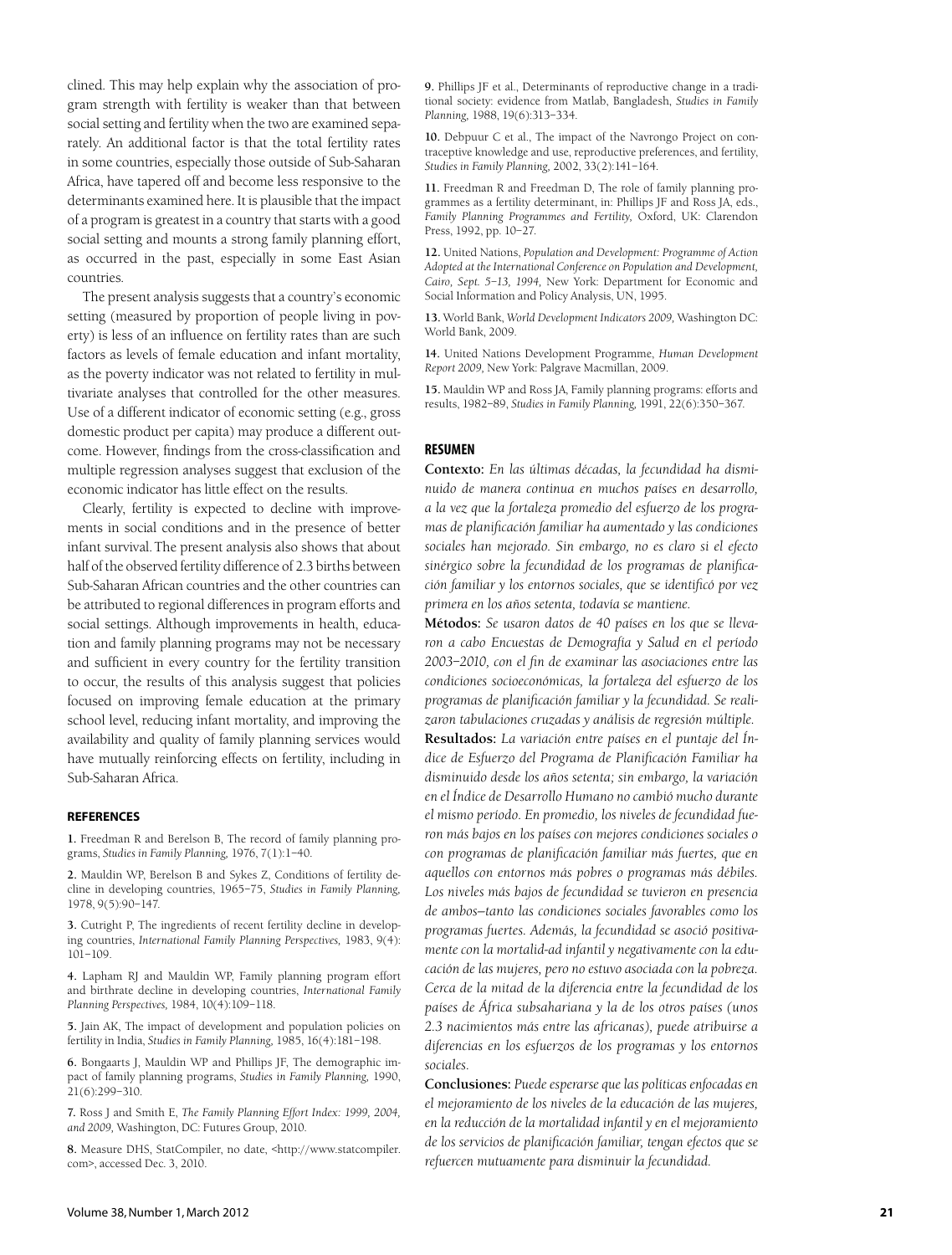clined. This may help explain why the association of program strength with fertility is weaker than that between social setting and fertility when the two are examined separately. An additional factor is that the total fertility rates in some countries, especially those outside of Sub-Saharan Africa, have tapered off and become less responsive to the determinants examined here. It is plausible that the impact of a program is greatest in a country that starts with a good social setting and mounts a strong family planning effort, as occurred in the past, especially in some East Asian countries.

The present analysis suggests that a country's economic setting (measured by proportion of people living in poverty) is less of an influence on fertility rates than are such factors as levels of female education and infant mortality, as the poverty indicator was not related to fertility in multivariate analyses that controlled for the other measures. Use of a different indicator of economic setting (e.g., gross domestic product per capita) may produce a different outcome. However, findings from the cross-classification and multiple regression analyses suggest that exclusion of the economic indicator has little effect on the results.

Clearly, fertility is expected to decline with improvements in social conditions and in the presence of better infant survival.The present analysis also shows that about half of the observed fertility difference of 2.3 births between Sub-Saharan African countries and the other countries can be attributed to regional differences in program efforts and social settings. Although improvements in health, education and family planning programs may not be necessary and sufficient in every country for the fertility transition to occur, the results of this analysis suggest that policies focused on improving female education at the primary school level, reducing infant mortality, and improving the availability and quality of family planning services would have mutually reinforcing effects on fertility, including in Sub-Saharan Africa.

#### **REFERENCES**

**1.** Freedman R and Berelson B, The record of family planning programs, *Studies in Family Planning,* 1976, 7(1):1–40.

**2.** Mauldin WP, Berelson B and Sykes Z, Conditions of fertility decline in developing countries, 1965–75, *Studies in Family Planning,*  1978, 9(5):90–147.

**3.** Cutright P, The ingredients of recent fertility decline in developing countries, *International Family Planning Perspectives,* 1983, 9(4): 101–109.

**4.** Lapham RJ and Mauldin WP, Family planning program effort and birthrate decline in developing countries, *International Family Planning Perspectives,* 1984, 10(4):109–118.

**5.** Jain AK, The impact of development and population policies on fertility in India, *Studies in Family Planning,* 1985, 16(4):181–198.

**6.** Bongaarts J, Mauldin WP and Phillips JF, The demographic impact of family planning programs, *Studies in Family Planning,* 1990, 21(6):299–310.

**7.** Ross J and Smith E, *The Family Planning Effort Index: 1999, 2004, and 2009,* Washington, DC: Futures Group, 2010.

**8.** Measure DHS, StatCompiler, no date, <http://www.statcompiler. com>, accessed Dec. 3, 2010.

**9.** Phillips JF et al., Determinants of reproductive change in a traditional society: evidence from Matlab, Bangladesh, *Studies in Family Planning,* 1988, 19(6):313–334.

**10.** Debpuur C et al., The impact of the Navrongo Project on contraceptive knowledge and use, reproductive preferences, and fertility, *Studies in Family Planning,* 2002, 33(2):141–164.

**11.** Freedman R and Freedman D, The role of family planning programmes as a fertility determinant, in: Phillips JF and Ross JA, eds., *Family Planning Programmes and Fertility,* Oxford, UK: Clarendon Press, 1992, pp. 10–27.

**12.** United Nations, *Population and Development: Programme of Action Adopted at the International Conference on Population and Development, Cairo, Sept. 5–13, 1994,* New York: Department for Economic and Social Information and Policy Analysis, UN, 1995.

**13.** World Bank, *World Development Indicators 2009,* Washington DC: World Bank, 2009.

**14.** United Nations Development Programme, *Human Development Report 2009,* New York: Palgrave Macmillan, 2009.

**15.** Mauldin WP and Ross JA, Family planning programs: efforts and results, 1982–89, *Studies in Family Planning,* 1991, 22(6):350–367.

## **RESUMEN**

**Contexto:** *En las últimas décadas, la fecundidad ha disminuido de manera continua en muchos países en desarrollo, a la vez que la fortaleza promedio del esfuerzo de los programas de planificación familiar ha aumentado y las condiciones sociales han mejorado. Sin embargo, no es claro si el efecto sinérgico sobre la fecundidad de los programas de planificación familiar y los entornos sociales, que se identificó por vez primera en los años setenta, todavía se mantiene.*

**Métodos:** *Se usaron datos de 40 países en los que se llevaron a cabo Encuestas de Demografía y Salud en el período 2003–2010, con el fin de examinar las asociaciones entre las condiciones socioeconómicas, la fortaleza del esfuerzo de los programas de planificación familiar y la fecundidad. Se realizaron tabulaciones cruzadas y análisis de regresión múltiple.*  **Resultados:** *La variación entre países en el puntaje del Índice de Esfuerzo del Programa de Planificación Familiar ha disminuido desde los años setenta; sin embargo, la variación en el Índice de Desarrollo Humano no cambió mucho durante el mismo período. En promedio, los niveles de fecundidad fueron más bajos en los países con mejores condiciones sociales o con programas de planificación familiar más fuertes, que en aquellos con entornos más pobres o programas más débiles. Los niveles más bajos de fecundidad se tuvieron en presencia de ambos—tanto las condiciones sociales favorables como los programas fuertes. Además, la fecundidad se asoció positivamente con la mortalid-ad infantil y negativamente con la educación de las mujeres, pero no estuvo asociada con la pobreza. Cerca de la mitad de la diferencia entre la fecundidad de los países de África subsahariana y la de los otros países (unos 2.3 nacimientos más entre las africanas), puede atribuirse a diferencias en los esfuerzos de los programas y los entornos sociales.* 

**Conclusiones:** *Puede esperarse que las políticas enfocadas en el mejoramiento de los niveles de la educación de las mujeres, en la reducción de la mortalidad infantil y en el mejoramiento de los servicios de planificación familiar, tengan efectos que se refuercen mutuamente para disminuir la fecundidad.*